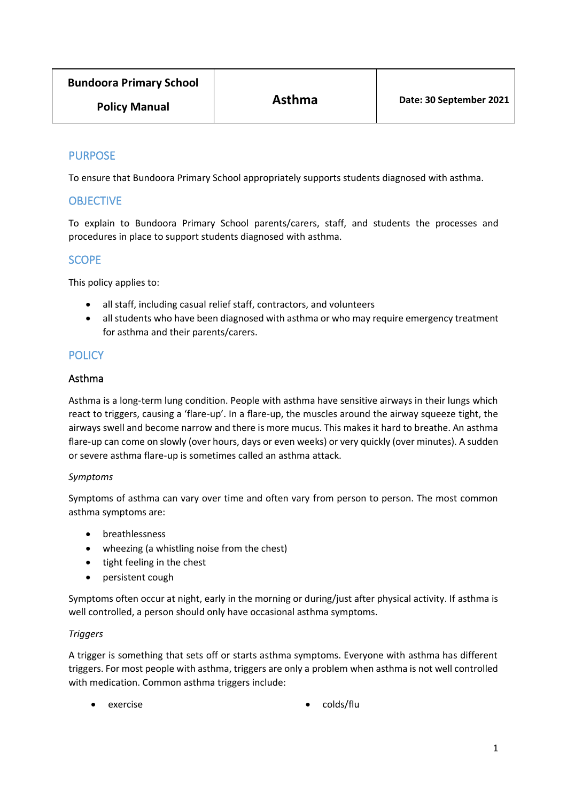| <b>Bundoora Primary School</b> | <b>Asthma</b> | Date: 30 September 2021 |
|--------------------------------|---------------|-------------------------|
| <b>Policy Manual</b>           |               |                         |

## PURPOSE

To ensure that Bundoora Primary School appropriately supports students diagnosed with asthma.

## **OBJECTIVE**

To explain to Bundoora Primary School parents/carers, staff, and students the processes and procedures in place to support students diagnosed with asthma.

## **SCOPE**

This policy applies to:

- all staff, including casual relief staff, contractors, and volunteers
- all students who have been diagnosed with asthma or who may require emergency treatment for asthma and their parents/carers.

## **POLICY**

#### Asthma

Asthma is a long-term lung condition. People with asthma have sensitive airways in their lungs which react to triggers, causing a 'flare-up'. In a flare-up, the muscles around the airway squeeze tight, the airways swell and become narrow and there is more mucus. This makes it hard to breathe. An asthma flare-up can come on slowly (over hours, days or even weeks) or very quickly (over minutes). A sudden or severe asthma flare-up is sometimes called an asthma attack.

#### *Symptoms*

Symptoms of asthma can vary over time and often vary from person to person. The most common asthma symptoms are:

- breathlessness
- wheezing (a whistling noise from the chest)
- tight feeling in the chest
- persistent cough

Symptoms often occur at night, early in the morning or during/just after physical activity. If asthma is well controlled, a person should only have occasional asthma symptoms.

### *Triggers*

A trigger is something that sets off or starts asthma symptoms. Everyone with asthma has different triggers. For most people with asthma, triggers are only a problem when asthma is not well controlled with medication. Common asthma triggers include:

- 
- exercise colds/flu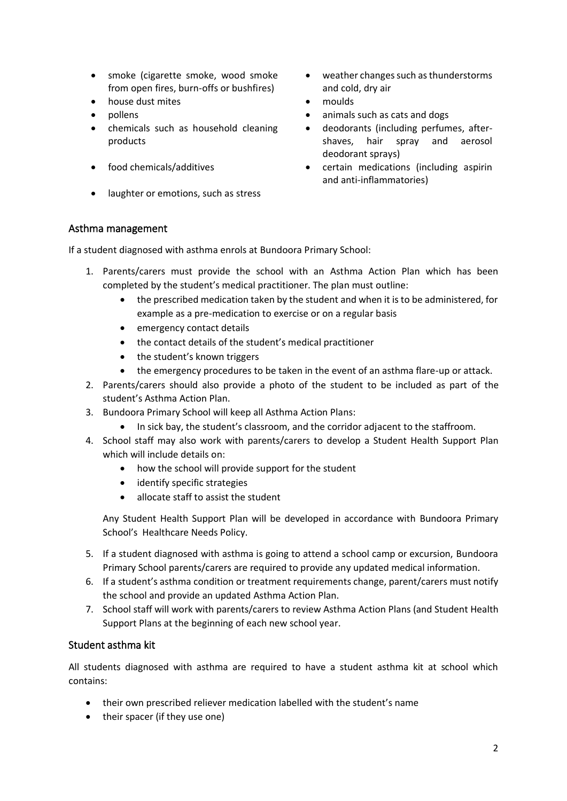- smoke (cigarette smoke, wood smoke from open fires, burn-offs or bushfires)
- house dust mites moulds
- 
- chemicals such as household cleaning products
- 
- laughter or emotions, such as stress
- weather changes such as thunderstorms and cold, dry air
- 
- pollens animals such as cats and dogs animals such as cats and dogs
	- deodorants (including perfumes, aftershaves, hair spray and aerosol deodorant sprays)
- food chemicals/additives certain medications (including aspirin and anti-inflammatories)

## Asthma management

If a student diagnosed with asthma enrols at Bundoora Primary School:

- 1. Parents/carers must provide the school with an Asthma Action Plan which has been completed by the student's medical practitioner. The plan must outline:
	- the prescribed medication taken by the student and when it is to be administered, for example as a pre-medication to exercise or on a regular basis
	- emergency contact details
	- the contact details of the student's medical practitioner
	- the student's known triggers
	- the emergency procedures to be taken in the event of an asthma flare-up or attack.
- 2. Parents/carers should also provide a photo of the student to be included as part of the student's Asthma Action Plan.
- 3. Bundoora Primary School will keep all Asthma Action Plans:
	- In sick bay, the student's classroom, and the corridor adjacent to the staffroom.
- 4. School staff may also work with parents/carers to develop a Student Health Support Plan which will include details on:
	- how the school will provide support for the student
	- identify specific strategies
	- allocate staff to assist the student

Any Student Health Support Plan will be developed in accordance with Bundoora Primary School's Healthcare Needs Policy.

- 5. If a student diagnosed with asthma is going to attend a school camp or excursion, Bundoora Primary School parents/carers are required to provide any updated medical information.
- 6. If a student's asthma condition or treatment requirements change, parent/carers must notify the school and provide an updated Asthma Action Plan.
- 7. School staff will work with parents/carers to review Asthma Action Plans (and Student Health Support Plans at the beginning of each new school year.

## Student asthma kit

All students diagnosed with asthma are required to have a student asthma kit at school which contains:

- their own prescribed reliever medication labelled with the student's name
- their spacer (if they use one)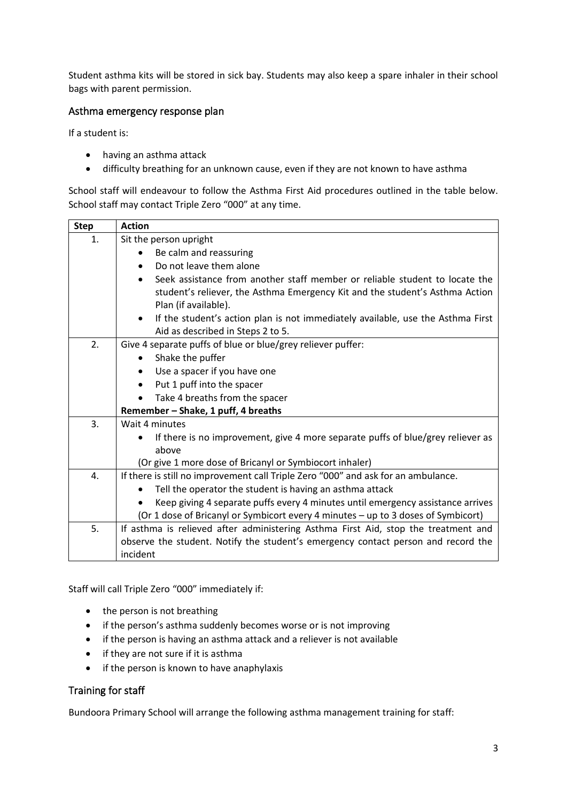Student asthma kits will be stored in sick bay. Students may also keep a spare inhaler in their school bags with parent permission.

## Asthma emergency response plan

If a student is:

- having an asthma attack
- difficulty breathing for an unknown cause, even if they are not known to have asthma

School staff will endeavour to follow the Asthma First Aid procedures outlined in the table below. School staff may contact Triple Zero "000" at any time.

| <b>Step</b> | <b>Action</b>                                                                                                                                               |  |  |
|-------------|-------------------------------------------------------------------------------------------------------------------------------------------------------------|--|--|
| 1.          | Sit the person upright                                                                                                                                      |  |  |
|             | Be calm and reassuring                                                                                                                                      |  |  |
|             | Do not leave them alone<br>$\bullet$                                                                                                                        |  |  |
|             | Seek assistance from another staff member or reliable student to locate the<br>student's reliever, the Asthma Emergency Kit and the student's Asthma Action |  |  |
|             | Plan (if available).                                                                                                                                        |  |  |
|             | If the student's action plan is not immediately available, use the Asthma First<br>$\bullet$<br>Aid as described in Steps 2 to 5.                           |  |  |
| 2.          | Give 4 separate puffs of blue or blue/grey reliever puffer:                                                                                                 |  |  |
|             | Shake the puffer<br>$\bullet$                                                                                                                               |  |  |
|             | Use a spacer if you have one                                                                                                                                |  |  |
|             | Put 1 puff into the spacer<br>$\bullet$                                                                                                                     |  |  |
|             | Take 4 breaths from the spacer<br>$\bullet$                                                                                                                 |  |  |
|             | Remember - Shake, 1 puff, 4 breaths                                                                                                                         |  |  |
| 3.          | Wait 4 minutes                                                                                                                                              |  |  |
|             | If there is no improvement, give 4 more separate puffs of blue/grey reliever as                                                                             |  |  |
|             | above                                                                                                                                                       |  |  |
|             | (Or give 1 more dose of Bricanyl or Symbiocort inhaler)                                                                                                     |  |  |
| 4.          | If there is still no improvement call Triple Zero "000" and ask for an ambulance.                                                                           |  |  |
|             | Tell the operator the student is having an asthma attack<br>$\bullet$                                                                                       |  |  |
|             | Keep giving 4 separate puffs every 4 minutes until emergency assistance arrives                                                                             |  |  |
|             | (Or 1 dose of Bricanyl or Symbicort every 4 minutes - up to 3 doses of Symbicort)                                                                           |  |  |
| 5.          | If asthma is relieved after administering Asthma First Aid, stop the treatment and                                                                          |  |  |
|             | observe the student. Notify the student's emergency contact person and record the                                                                           |  |  |
|             | incident                                                                                                                                                    |  |  |

Staff will call Triple Zero "000" immediately if:

- the person is not breathing
- if the person's asthma suddenly becomes worse or is not improving
- if the person is having an asthma attack and a reliever is not available
- if they are not sure if it is asthma
- if the person is known to have anaphylaxis

### Training for staff

Bundoora Primary School will arrange the following asthma management training for staff: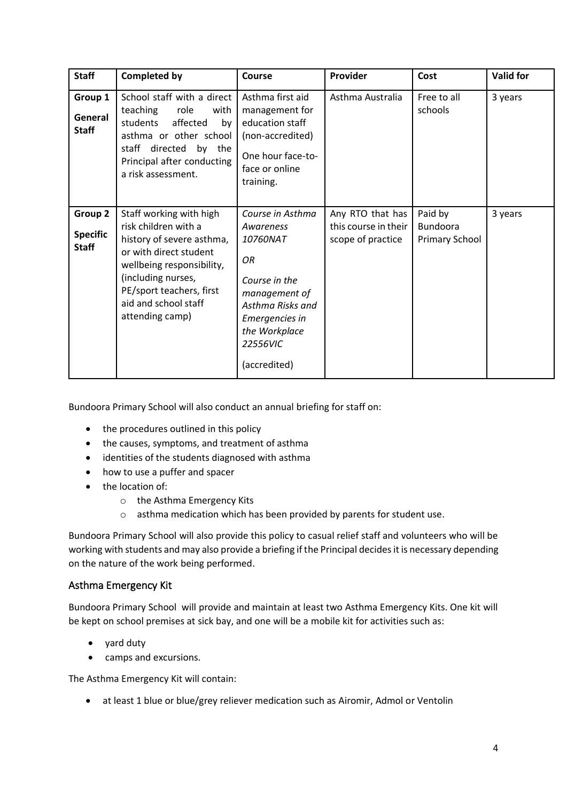| <b>Staff</b>                               | <b>Completed by</b>                                                                                                                                                                                                              | Course                                                                                                                                                               | Provider                                                      | Cost                                                | <b>Valid for</b> |
|--------------------------------------------|----------------------------------------------------------------------------------------------------------------------------------------------------------------------------------------------------------------------------------|----------------------------------------------------------------------------------------------------------------------------------------------------------------------|---------------------------------------------------------------|-----------------------------------------------------|------------------|
| Group 1<br>General<br><b>Staff</b>         | School staff with a direct<br>teaching<br>role<br>with<br>students<br>affected<br>by<br>asthma or other school<br>staff directed<br>by the<br>Principal after conducting<br>a risk assessment.                                   | Asthma first aid<br>management for<br>education staff<br>(non-accredited)<br>One hour face-to-<br>face or online<br>training.                                        | Asthma Australia                                              | Free to all<br>schools                              | 3 years          |
| Group 2<br><b>Specific</b><br><b>Staff</b> | Staff working with high<br>risk children with a<br>history of severe asthma,<br>or with direct student<br>wellbeing responsibility,<br>(including nurses,<br>PE/sport teachers, first<br>aid and school staff<br>attending camp) | Course in Asthma<br>Awareness<br>10760NAT<br>OR<br>Course in the<br>management of<br>Asthma Risks and<br>Emergencies in<br>the Workplace<br>22556VIC<br>(accredited) | Any RTO that has<br>this course in their<br>scope of practice | Paid by<br><b>Bundoora</b><br><b>Primary School</b> | 3 years          |

Bundoora Primary School will also conduct an annual briefing for staff on:

- the procedures outlined in this policy
- the causes, symptoms, and treatment of asthma
- identities of the students diagnosed with asthma
- how to use a puffer and spacer
- the location of:
	- o the Asthma Emergency Kits
	- o asthma medication which has been provided by parents for student use.

Bundoora Primary School will also provide this policy to casual relief staff and volunteers who will be working with students and may also provide a briefing if the Principal decides it is necessary depending on the nature of the work being performed.

## Asthma Emergency Kit

Bundoora Primary School will provide and maintain at least two Asthma Emergency Kits. One kit will be kept on school premises at sick bay, and one will be a mobile kit for activities such as:

- yard duty
- camps and excursions.

The Asthma Emergency Kit will contain:

• at least 1 blue or blue/grey reliever medication such as Airomir, Admol or Ventolin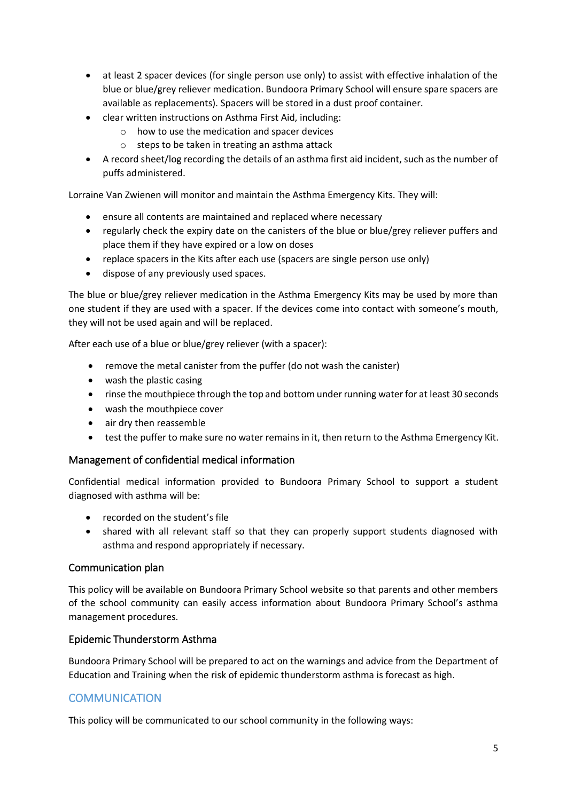- at least 2 spacer devices (for single person use only) to assist with effective inhalation of the blue or blue/grey reliever medication. Bundoora Primary School will ensure spare spacers are available as replacements). Spacers will be stored in a dust proof container.
- clear written instructions on Asthma First Aid, including:
	- o how to use the medication and spacer devices
	- o steps to be taken in treating an asthma attack
- A record sheet/log recording the details of an asthma first aid incident, such as the number of puffs administered.

Lorraine Van Zwienen will monitor and maintain the Asthma Emergency Kits. They will:

- ensure all contents are maintained and replaced where necessary
- regularly check the expiry date on the canisters of the blue or blue/grey reliever puffers and place them if they have expired or a low on doses
- replace spacers in the Kits after each use (spacers are single person use only)
- dispose of any previously used spaces.

The blue or blue/grey reliever medication in the Asthma Emergency Kits may be used by more than one student if they are used with a spacer. If the devices come into contact with someone's mouth, they will not be used again and will be replaced.

After each use of a blue or blue/grey reliever (with a spacer):

- remove the metal canister from the puffer (do not wash the canister)
- wash the plastic casing
- rinse the mouthpiece through the top and bottom under running water for at least 30 seconds
- wash the mouthpiece cover
- air dry then reassemble
- test the puffer to make sure no water remains in it, then return to the Asthma Emergency Kit.

### Management of confidential medical information

Confidential medical information provided to Bundoora Primary School to support a student diagnosed with asthma will be:

- recorded on the student's file
- shared with all relevant staff so that they can properly support students diagnosed with asthma and respond appropriately if necessary.

### Communication plan

This policy will be available on Bundoora Primary School website so that parents and other members of the school community can easily access information about Bundoora Primary School's asthma management procedures.

### Epidemic Thunderstorm Asthma

Bundoora Primary School will be prepared to act on the warnings and advice from the Department of Education and Training when the risk of epidemic thunderstorm asthma is forecast as high.

## **COMMUNICATION**

This policy will be communicated to our school community in the following ways: